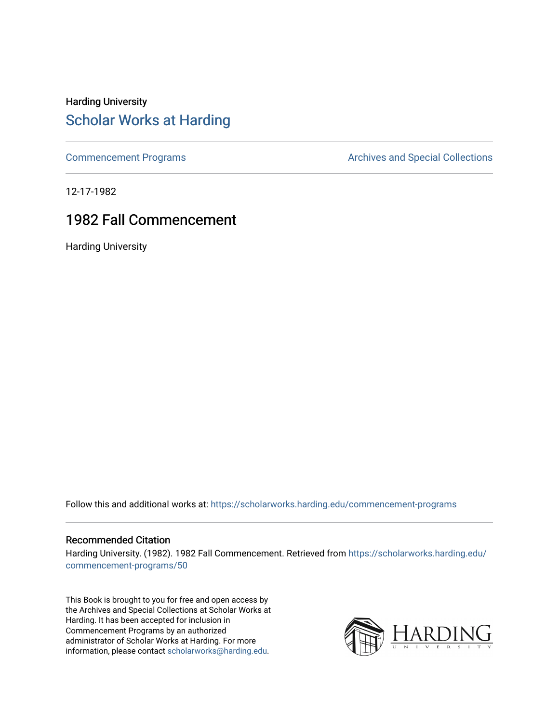### Harding University [Scholar Works at Harding](https://scholarworks.harding.edu/)

[Commencement Programs](https://scholarworks.harding.edu/commencement-programs) **Archives and Special Collections** Archives and Special Collections

12-17-1982

### 1982 Fall Commencement

Harding University

Follow this and additional works at: [https://scholarworks.harding.edu/commencement-programs](https://scholarworks.harding.edu/commencement-programs?utm_source=scholarworks.harding.edu%2Fcommencement-programs%2F50&utm_medium=PDF&utm_campaign=PDFCoverPages)

#### Recommended Citation

Harding University. (1982). 1982 Fall Commencement. Retrieved from [https://scholarworks.harding.edu/](https://scholarworks.harding.edu/commencement-programs/50?utm_source=scholarworks.harding.edu%2Fcommencement-programs%2F50&utm_medium=PDF&utm_campaign=PDFCoverPages) [commencement-programs/50](https://scholarworks.harding.edu/commencement-programs/50?utm_source=scholarworks.harding.edu%2Fcommencement-programs%2F50&utm_medium=PDF&utm_campaign=PDFCoverPages) 

This Book is brought to you for free and open access by the Archives and Special Collections at Scholar Works at Harding. It has been accepted for inclusion in Commencement Programs by an authorized administrator of Scholar Works at Harding. For more information, please contact [scholarworks@harding.edu.](mailto:scholarworks@harding.edu)

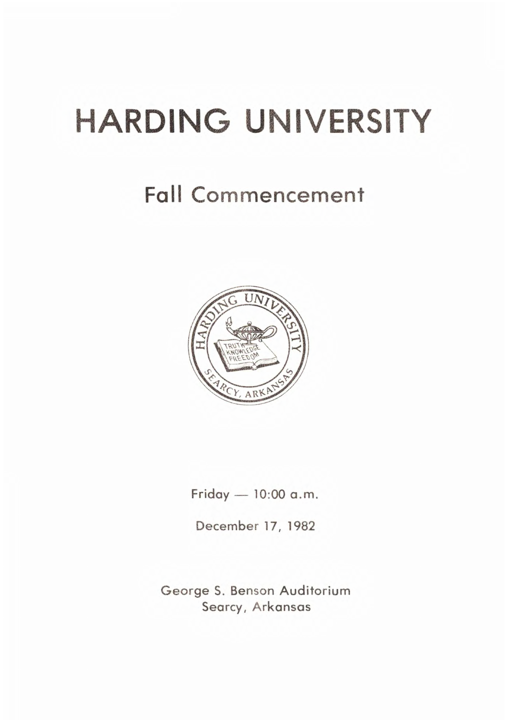# **HARDING UNIVERSITY**

# Fall Commencement



 $Friday = 10:00$  a.m.

December 17, 1982

George S. Benson Auditorium Searcy, Arkansas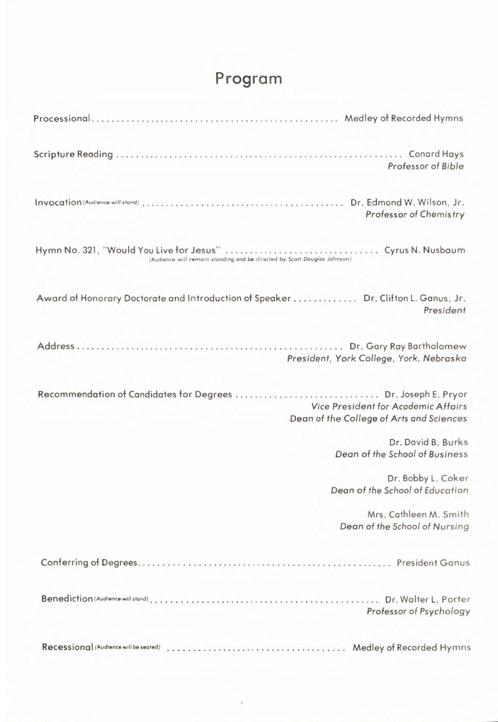## **Program**

| Professor of Bible                                                                             |
|------------------------------------------------------------------------------------------------|
| Professor of Chemistry                                                                         |
|                                                                                                |
| Award of Honorary Doctorate and Introduction of Speaker Dr. Clifton L. Ganus, Jr.<br>President |
| President, York College, York, Nebraska                                                        |
| Vice President for Academic Affairs<br>Dean of the College of Arts and Sciences                |
| Dr. David B. Burks<br>Dean of the School of Business                                           |
| Dr. Bobby L. Coker<br>Dean of the School of Education                                          |
| Mrs. Cathleen M. Smith<br>Dean of the School of Nursing                                        |
|                                                                                                |
| Professor of Psychology                                                                        |
| Medley of Recorded Hymns                                                                       |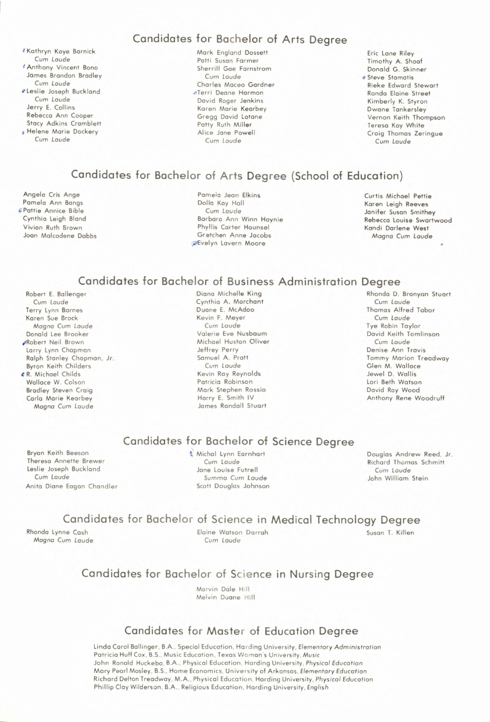Kathryn Kaye Barnick Cum *Laude*  Anthony Vincent Bono James Brandon Bradley Cum *Laude*  Leslie Joseph Buckland Cum *Laude*  Jerry E. Collins Rebecca Ann Cooper Stacy Adkins Cramblett Helene Marie Dockery Cum *Laude* 

#### **Candidates for Bachelor of Arts Degree**

Mark England Dossett Patti Susan Farmer Sherrill Gae Farnstrom Cum *Laude*  Charles Maceo Gardner Terri Deane Harmon David Roger Jenkins Karen Marie Kearbey Gregg David lotane Patty Ruth Miller Alice Jane Powell Cum *Laude* 

Eric Lane Riley Timothy A. Shoaf Donald G . Skinner **e** Steve Stamatis Rieke Edward Stewart Ronda Elaine Street Kimberly K. Styron Dwane Tankersley Vernon Keith Thompson Teresa Kay White Craig Thomas Zeringue Cum *Laude* 

#### **Candidates for Bachelor of Arts Degree (School of Education)**

Angela Cris Ange Pamela Ann Bangs Pattie Annice Bible Cynthia Leigh Bland Vivian Ruth Brown Joan Malcodene Dabbs

Pamela Jean Elkins Dolla Kay Hall Cum *Laude*  Barbaro Ann Winn Haynie Phyllis Carter Hounsel Gretchen Anne Jacobs Evelyn Lavern Moore

Curtis Michael Pettie Karen Leigh Reeves Janifer Susan Smithey Rebecca Louise Swartwood Kandi Darlene West Magna Cum *Laude* 

#### **Candidates for Bachelor of Business Administration Degree**

Robert E. Ballenger Cum *Laude*  Terry Lynn Barnes Karen Sue Brock Magna Cum Laude Donald lee Brooker Robert Neil Brown Larry Lynn Chapman Rolph Stanley Chapman, Jr. Byron Keith Childers R. Michael Childs Wallace W. Colson Bradley Steven Craig Carla Marie Kearbey Magna Cum *Laude* 

Diana Michelle King Cynthia A. Marchant Duane E. McAdoo Kevin F. Meyer Cum *Laude*  Valerie Eve Nusbaum Michael Huston Oliver Jeffrey Perry Samuel A. Pratt Cum *Laude*  Kevin Roy Reynolds Patricia Robinson Mark Stephen Rossio Harry E. Smith IV James Randall Stuart

#### Rhonda D. Branyan Stuart Cum *Laude*  Thomas Alfred Tabor Cum *Laude*  Tye Robin Taylor David Keith Tomlinson Cum *Laude*  Denise Ann Travis Tommy Marion Treadway Glen M. Wallace Jewel D. Wallis Lori Beth Watson David Roy Wood Anthony Rene Woodruff

#### **Candidates for Bachelor of Science Degree**

Bryan Keith Beeson Theresa Annette Brewer Leslie Joseph Buckland Cum *Laude*  Anita Diane Eagan Chandler Michal Lynn Earnhart Cum *Laude*  Jane Louise Futrell Summa Cum *Laude*  Scott Douglas Johnson Douglas Andrew Reed, Jr. Richard Thomas Schmitt Cum *Laude*  John William Stein

#### **Candidates for Bachelor of Science in Medical Technology Degree**

Rhonda Lynne Cash *Magna* Cum *Laude*  Elaine Watson Darrah Cum *Laude* 

Susan T. Killen

#### **Candidates for Bachelor of Science in Nursing Degree**

Marvin Dale Hill Melvin Duane Hill

#### **Candidates for Master of Education Degree**

Linda Carol Ballinger, **B.A. ,** Special Education, Harding University, *Elementary Administration*  Patricia Huff Cox, B.S., Music Education, Texas Woman's University, Music John Ronald Huckeba, B.A., Physical Education, Harding University, Physical Education Mary Pearl Mosley , B.S. , Home Economics, University of Arkansas , *Elementary Education*  Richard Delton Treadway, M.A., Physical Education, Harding University, *Physical Education*  Phillip Clay Wilderson , B.A., Religious Education , Harding University , *English*